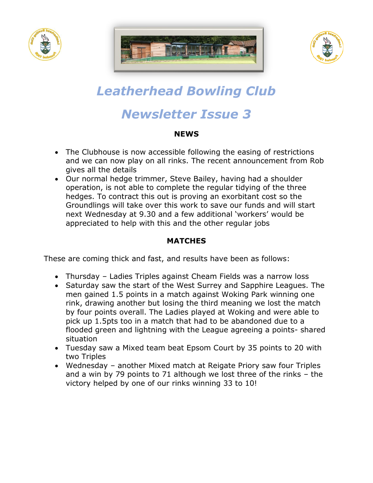





# *Leatherhead Bowling Club*

# *Newsletter Issue 3*

## **NEWS**

- The Clubhouse is now accessible following the easing of restrictions and we can now play on all rinks. The recent announcement from Rob gives all the details
- Our normal hedge trimmer, Steve Bailey, having had a shoulder operation, is not able to complete the regular tidying of the three hedges. To contract this out is proving an exorbitant cost so the Groundlings will take over this work to save our funds and will start next Wednesday at 9.30 and a few additional 'workers' would be appreciated to help with this and the other regular jobs

# **MATCHES**

These are coming thick and fast, and results have been as follows:

- Thursday Ladies Triples against Cheam Fields was a narrow loss
- Saturday saw the start of the West Surrey and Sapphire Leagues. The men gained 1.5 points in a match against Woking Park winning one rink, drawing another but losing the third meaning we lost the match by four points overall. The Ladies played at Woking and were able to pick up 1.5pts too in a match that had to be abandoned due to a flooded green and lightning with the League agreeing a points- shared situation
- Tuesday saw a Mixed team beat Epsom Court by 35 points to 20 with two Triples
- Wednesday another Mixed match at Reigate Priory saw four Triples and a win by 79 points to 71 although we lost three of the rinks – the victory helped by one of our rinks winning 33 to 10!